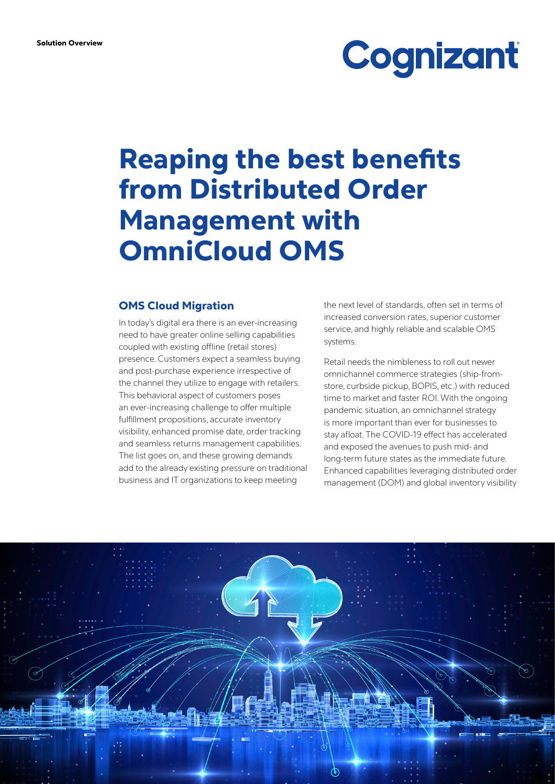# Cognizant

# Reaping the best benefits from Distributed Order Management with OmniCloud OMS

#### OMS Cloud Migration

In today's digital era there is an ever-increasing need to have greater online selling capabilities coupled with existing offline (retail stores) presence. Customers expect a seamless buying and post-purchase experience irrespective of the channel they utilize to engage with retailers. This behavioral aspect of customers poses an ever-increasing challenge to offer multiple fulfillment propositions, accurate inventory visibility, enhanced promise date, order tracking and seamless returns management capabilities. The list goes on, and these growing demands add to the already existing pressure on traditional business and IT organizations to keep meeting

the next level of standards, often set in terms of increased conversion rates, superior customer service, and highly reliable and scalable OMS systems.

Retail needs the nimbleness to roll out newer omnichannel commerce strategies (ship-fromstore, curbside pickup, BOPIS, etc.) with reduced time to market and faster ROI. With the ongoing pandemic situation, an omnichannel strategy is more important than ever for businesses to stay afloat. The COVID-19 effect has accelerated and exposed the avenues to push mid- and long-term future states as the immediate future. Enhanced capabilities leveraging distributed order management (DOM) and global inventory visibility

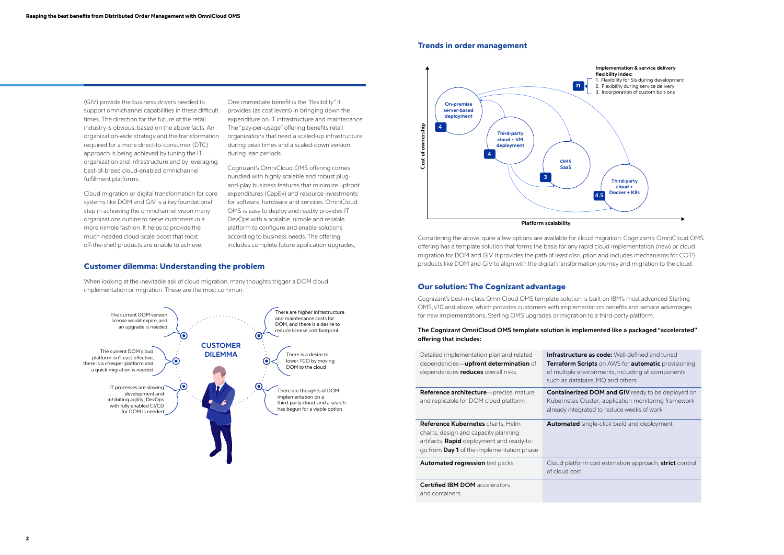#### Customer dilemma: Understanding the problem

When looking at the inevitable ask of cloud migration, many thoughts trigger a DOM cloud implementation or migration. These are the most common:



## **Implementation & service delivery**

- 
- 
- 

**Is code:** Well-defined and tuned **ts** on AWS for **automatic** provisioning onments, including all components e, MQ and others

**COM and GIV** ready to be deployed on ter; application monitoring framework d to reduce weeks of work

le-click build and deployment

tost estimation approach; **strict** control





#### Our solution: The Cognizant advantage

Cognizant's best-in-class OmniCloud OMS template solution is built on IBM's most advanced Sterling OMS, v10 and above, which provides customers with implementation benefits and service advantages for new implementations, Sterling OMS upgrades or migration to a third-party platform.

#### **The Cognizant OmniCloud OMS template solution is implemented like a packaged "accelerated" offering that includes:**

| Detailed implementation plan and related<br>dependencies— <b>upfront determination</b> of<br>dependencies reduces overall risks                                            | Infrastructure a<br><b>Terraform Scrip</b><br>of multiple enviro<br>such as database |
|----------------------------------------------------------------------------------------------------------------------------------------------------------------------------|--------------------------------------------------------------------------------------|
| Reference architecture-precise, mature<br>and replicable for DOM cloud platform                                                                                            | <b>Containerized D</b><br><b>Kubernetes Clus</b><br>already integrate                |
| <b>Reference Kubernetes</b> charts, Helm<br>charts, design and capacity planning<br>artifacts. Rapid deployment and ready-to-<br>go from Day 1 of the implementation phase | <b>Automated sing</b>                                                                |
|                                                                                                                                                                            |                                                                                      |
| <b>Automated regression</b> test packs                                                                                                                                     | Cloud platform o<br>of cloud cost                                                    |
| <b>Certified IBM DOM</b> accelerators<br>and containers                                                                                                                    |                                                                                      |

(GIV) provide the business drivers needed to support omnichannel capabilities in these difficult times. The direction for the future of the retail industry is obvious, based on the above facts. An organization-wide strategy and the transformation required for a more direct-to-consumer (DTC) approach is being achieved by tuning the IT organization and infrastructure and by leveraging best-of-breed cloud-enabled omnichannel fulfillment platforms.

Cloud migration or digital transformation for core systems like DOM and GIV is a key foundational step in achieving the omnichannel vision many organizations outline to serve customers in a more nimble fashion. It helps to provide the much-needed cloud-scale boost that most off-the-shelf products are unable to achieve.

One immediate benefit is the "flexibility" it provides (as cost levers) in bringing down the expenditure on IT infrastructure and maintenance. The "pay-per-usage" offering benefits retail organizations that need a scaled-up infrastructure during peak times and a scaled-down version during lean periods.

Cognizant's OmniCloud OMS offering comes bundled with highly scalable and robust plugand-play business features that minimize upfront expenditures (CapEx) and resource investments for software, hardware and services. OmniCloud OMS is easy to deploy and readily provides IT DevOps with a scalable, nimble and reliable platform to configure and enable solutions according to business needs. The offering includes complete future application upgrades,

#### Trends in order management

Considering the above, quite a few options are available for cloud migration. Cognizant's OmniCloud OMS offering has a template solution that forms the basis for any rapid cloud implementation (new) or cloud migration for DOM and GIV. It provides the path of least disruption and includes mechanisms for COTS products like DOM and GIV to align with the digital transformation journey and migration to the cloud.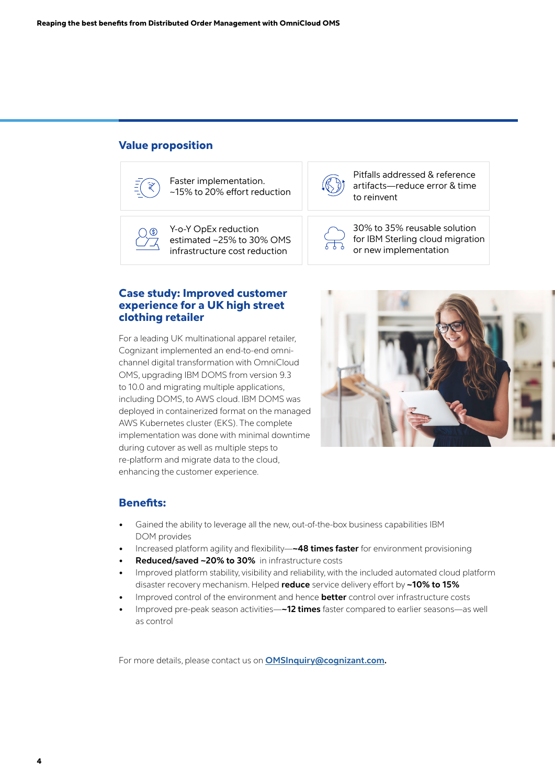#### Value proposition



Faster implementation. ~15% to 20% effort reduction



Pitfalls addressed & reference artifacts—reduce error & time to reinvent



Y-o-Y OpEx reduction estimated ~25% to 30% OMS infrastructure cost reduction



30% to 35% reusable solution for IBM Sterling cloud migration or new implementation

#### Case study: Improved customer experience for a UK high street clothing retailer

For a leading UK multinational apparel retailer, Cognizant implemented an end-to-end omnichannel digital transformation with OmniCloud OMS, upgrading IBM DOMS from version 9.3 to 10.0 and migrating multiple applications, including DOMS, to AWS cloud. IBM DOMS was deployed in containerized format on the managed AWS Kubernetes cluster (EKS). The complete implementation was done with minimal downtime during cutover as well as multiple steps to re-platform and migrate data to the cloud, enhancing the customer experience.



#### Benefits:

- Gained the ability to leverage all the new, out-of-the-box business capabilities IBM DOM provides
- Increased platform agility and flexibility—**~48 times faster** for environment provisioning
- **• Reduced/saved ~20% to 30%** in infrastructure costs
- Improved platform stability, visibility and reliability, with the included automated cloud platform disaster recovery mechanism. Helped **reduce** service delivery effort by **~10% to 15%**
- Improved control of the environment and hence **better** control over infrastructure costs
- Improved pre-peak season activities—**~12 times** faster compared to earlier seasons—as well as control

For more details, please contact us on **[OMSInquiry@cognizant.com](mailto:OMSInquiry%40cognizant.com?subject=).**